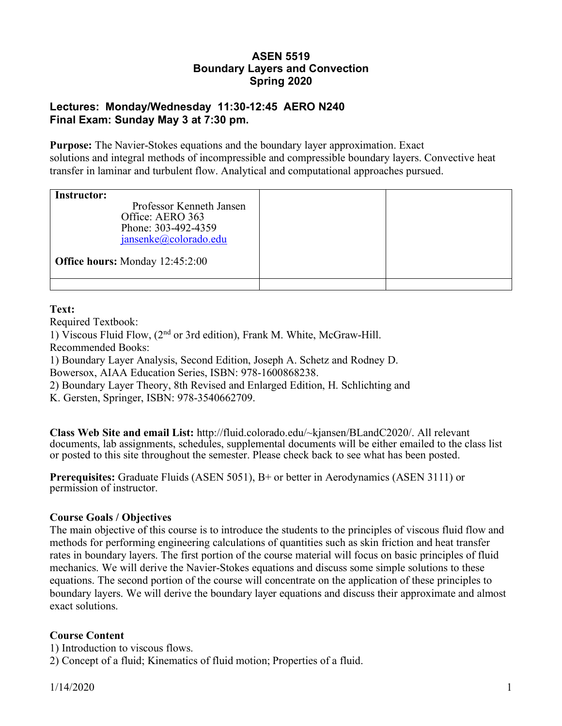# **ASEN 5519 Boundary Layers and Convection Spring 2020**

## **Lectures: Monday/Wednesday 11:30-12:45 AERO N240 Final Exam: Sunday May 3 at 7:30 pm.**

**Purpose:** The Navier-Stokes equations and the boundary layer approximation. Exact solutions and integral methods of incompressible and compressible boundary layers. Convective heat transfer in laminar and turbulent flow. Analytical and computational approaches pursued.

| <b>Instructor:</b><br>Professor Kenneth Jansen<br>Office: AERO 363<br>Phone: 303-492-4359<br>jansenke@colorado.edu<br><b>Office hours:</b> Monday 12:45:2:00 |  |
|--------------------------------------------------------------------------------------------------------------------------------------------------------------|--|
|                                                                                                                                                              |  |

## **Text:**

Required Textbook:

1) Viscous Fluid Flow, (2nd or 3rd edition), Frank M. White, McGraw-Hill.

Recommended Books:

1) Boundary Layer Analysis, Second Edition, Joseph A. Schetz and Rodney D. Bowersox, AIAA Education Series, ISBN: 978-1600868238.

2) Boundary Layer Theory, 8th Revised and Enlarged Edition, H. Schlichting and

K. Gersten, Springer, ISBN: 978-3540662709.

**Class Web Site and email List:** http://fluid.colorado.edu/~kjansen/BLandC2020/. All relevant documents, lab assignments, schedules, supplemental documents will be either emailed to the class list or posted to this site throughout the semester. Please check back to see what has been posted.

**Prerequisites:** Graduate Fluids (ASEN 5051), B+ or better in Aerodynamics (ASEN 3111) or permission of instructor.

## **Course Goals / Objectives**

The main objective of this course is to introduce the students to the principles of viscous fluid flow and methods for performing engineering calculations of quantities such as skin friction and heat transfer rates in boundary layers. The first portion of the course material will focus on basic principles of fluid mechanics. We will derive the Navier-Stokes equations and discuss some simple solutions to these equations. The second portion of the course will concentrate on the application of these principles to boundary layers. We will derive the boundary layer equations and discuss their approximate and almost exact solutions.

## **Course Content**

1) Introduction to viscous flows.

2) Concept of a fluid; Kinematics of fluid motion; Properties of a fluid.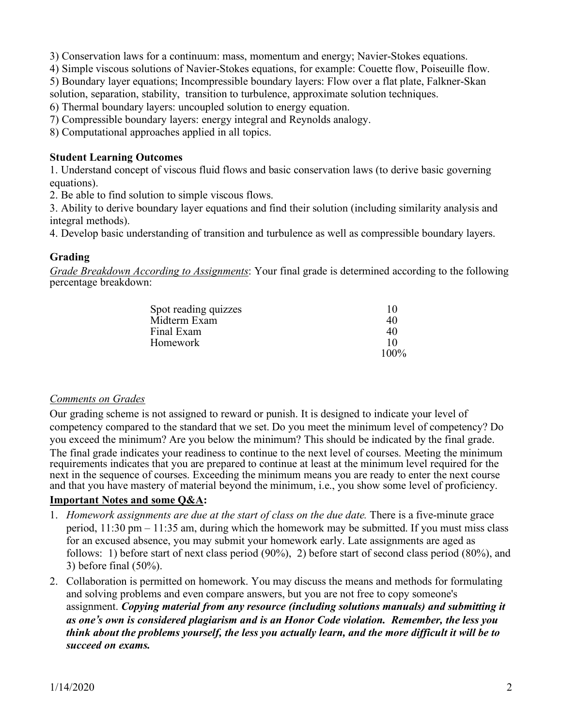3) Conservation laws for a continuum: mass, momentum and energy; Navier-Stokes equations.

4) Simple viscous solutions of Navier-Stokes equations, for example: Couette flow, Poiseuille flow.

5) Boundary layer equations; Incompressible boundary layers: Flow over a flat plate, Falkner-Skan solution, separation, stability, transition to turbulence, approximate solution techniques.

6) Thermal boundary layers: uncoupled solution to energy equation.

7) Compressible boundary layers: energy integral and Reynolds analogy.

8) Computational approaches applied in all topics.

### **Student Learning Outcomes**

1. Understand concept of viscous fluid flows and basic conservation laws (to derive basic governing equations).

2. Be able to find solution to simple viscous flows.

3. Ability to derive boundary layer equations and find their solution (including similarity analysis and integral methods).

4. Develop basic understanding of transition and turbulence as well as compressible boundary layers.

#### **Grading**

*Grade Breakdown According to Assignments*: Your final grade is determined according to the following percentage breakdown:

| Spot reading quizzes | 10      |
|----------------------|---------|
| Midterm Exam         | 40      |
| Final Exam           | 40      |
| Homework             | 10      |
|                      | $100\%$ |

#### *Comments on Grades*

Our grading scheme is not assigned to reward or punish. It is designed to indicate your level of competency compared to the standard that we set. Do you meet the minimum level of competency? Do you exceed the minimum? Are you below the minimum? This should be indicated by the final grade. The final grade indicates your readiness to continue to the next level of courses. Meeting the minimum requirements indicates that you are prepared to continue at least at the minimum level required for the next in the sequence of courses. Exceeding the minimum means you are ready to enter the next course and that you have mastery of material beyond the minimum, i.e., you show some level of proficiency.

## **Important Notes and some Q&A:**

- 1. *Homework assignments are due at the start of class on the due date.* There is a five-minute grace period, 11:30 pm – 11:35 am, during which the homework may be submitted. If you must miss class for an excused absence, you may submit your homework early. Late assignments are aged as follows: 1) before start of next class period (90%), 2) before start of second class period (80%), and 3) before final (50%).
- 2. Collaboration is permitted on homework. You may discuss the means and methods for formulating and solving problems and even compare answers, but you are not free to copy someone's assignment. *Copying material from any resource (including solutions manuals) and submitting it as one's own is considered plagiarism and is an Honor Code violation. Remember, the less you think about the problems yourself, the less you actually learn, and the more difficult it will be to succeed on exams.*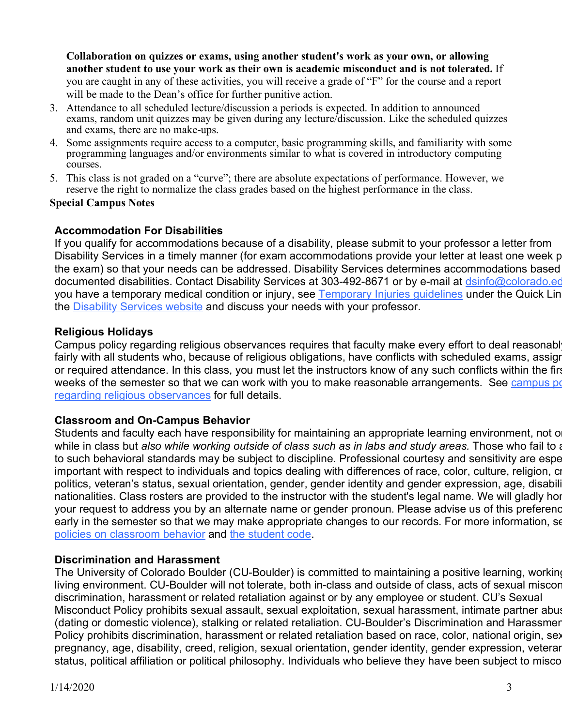**Collaboration on quizzes or exams, using another student's work as your own, or allowing another student to use your work as their own is academic misconduct and is not tolerated.** If you are caught in any of these activities, you will receive a grade of "F" for the course and a report will be made to the Dean's office for further punitive action.

- 3. Attendance to all scheduled lecture/discussion a periods is expected. In addition to announced exams, random unit quizzes may be given during any lecture/discussion. Like the scheduled quizzes and exams, there are no make-ups.
- 4. Some assignments require access to a computer, basic programming skills, and familiarity with some programming languages and/or environments similar to what is covered in introductory computing courses.
- 5. This class is not graded on a "curve"; there are absolute expectations of performance. However, we reserve the right to normalize the class grades based on the highest performance in the class.

#### **Special Campus Notes**

## **Accommodation For Disabilities**

If you qualify for accommodations because of a disability, please submit to your professor a letter from Disability Services in a timely manner (for exam accommodations provide your letter at least one week p the exam) so that your needs can be addressed. Disability Services determines accommodations based documented disabilities. Contact Disability Services at 303-492-8671 or by e-mail at dsinfo@colorado.ed you have a temporary medical condition or injury, see Temporary Injuries quidelines under the Quick Lin the Disability Services website and discuss your needs with your professor.

## **Religious Holidays**

Campus policy regarding religious observances requires that faculty make every effort to deal reasonabl fairly with all students who, because of religious obligations, have conflicts with scheduled exams, assignent or required attendance. In this class, you must let the instructors know of any such conflicts within the first weeks of the semester so that we can work with you to make reasonable arrangements. See campus po regarding religious observances for full details.

## **Classroom and On-Campus Behavior**

Students and faculty each have responsibility for maintaining an appropriate learning environment, not o while in class but *also while working outside of class such as in labs and study areas.* Those who fail to a to such behavioral standards may be subject to discipline. Professional courtesy and sensitivity are espe important with respect to individuals and topics dealing with differences of race, color, culture, religion, ci politics, veteran's status, sexual orientation, gender, gender identity and gender expression, age, disability nationalities. Class rosters are provided to the instructor with the student's legal name. We will gladly hor your request to address you by an alternate name or gender pronoun. Please advise us of this preferend early in the semester so that we may make appropriate changes to our records. For more information, see policies on classroom behavior and the student code.

## **Discrimination and Harassment**

The University of Colorado Boulder (CU-Boulder) is committed to maintaining a positive learning, working living environment. CU-Boulder will not tolerate, both in-class and outside of class, acts of sexual miscor discrimination, harassment or related retaliation against or by any employee or student. CU's Sexual Misconduct Policy prohibits sexual assault, sexual exploitation, sexual harassment, intimate partner abus (dating or domestic violence), stalking or related retaliation. CU-Boulder's Discrimination and Harassmer Policy prohibits discrimination, harassment or related retaliation based on race, color, national origin, sex pregnancy, age, disability, creed, religion, sexual orientation, gender identity, gender expression, veteran status, political affiliation or political philosophy. Individuals who believe they have been subject to misco